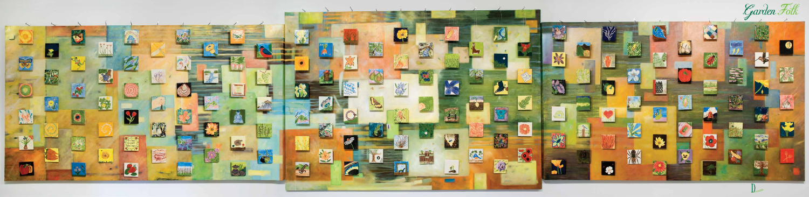